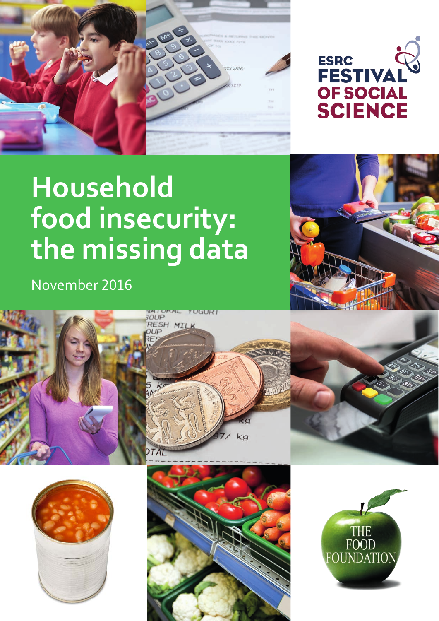



# **Household Household food insecurity: the missing data** A briefing by the Food Foundation **food insecurity: the missing data**

November 2016 November 2016









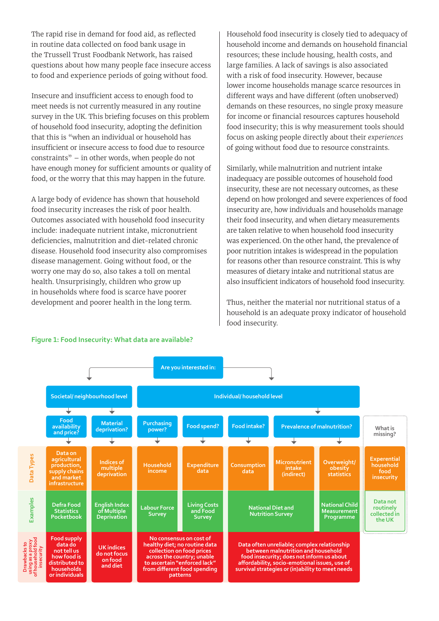The rapid rise in demand for food aid, as reflected in routine data collected on food bank usage in the Trussell Trust Foodbank Network, has raised questions about how many people face insecure access to food and experience periods of going without food.

Insecure and insufficient access to enough food to meet needs is not currently measured in any routine survey in the UK. This briefing focuses on this problem of household food insecurity, adopting the definition that this is "when an individual or household has insufficient or insecure access to food due to resource constraints" – in other words, when people do not have enough money for sufficient amounts or quality of food, or the worry that this may happen in the future.

A large body of evidence has shown that household food insecurity increases the risk of poor health. Outcomes associated with household food insecurity include: inadequate nutrient intake, micronutrient deficiencies, malnutrition and diet-related chronic disease. Household food insecurity also compromises disease management. Going without food, or the worry one may do so, also takes a toll on mental health. Unsurprisingly, children who grow up in households where food is scarce have poorer development and poorer health in the long term.

Household food insecurity is closely tied to adequacy of household income and demands on household financial resources; these include housing, health costs, and large families. A lack of savings is also associated with a risk of food insecurity. However, because lower income households manage scarce resources in different ways and have different (often unobserved) demands on these resources, no single proxy measure for income or financial resources captures household food insecurity; this is why measurement tools should focus on asking people directly about their *experiences* of going without food due to resource constraints.

Similarly, while malnutrition and nutrient intake inadequacy are possible outcomes of household food insecurity, these are not necessary outcomes, as these depend on how prolonged and severe experiences of food insecurity are, how individuals and households manage their food insecurity, and when dietary measurements are taken relative to when household food insecurity was experienced. On the other hand, the prevalence of poor nutrition intakes is widespread in the population for reasons other than resource constraint. This is why measures of dietary intake and nutritional status are also insufficient indicators of household food insecurity.

Thus, neither the material nor nutritional status of a household is an adequate proxy indicator of household food insecurity.



## **Figure 1: Food Insecurity: What data are available?**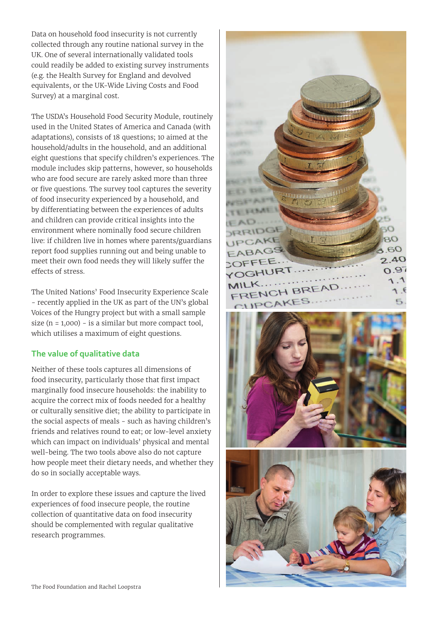Data on household food insecurity is not currently collected through any routine national survey in the UK. One of several internationally validated tools could readily be added to existing survey instruments (e.g. the Health Survey for England and devolved equivalents, or the UK-Wide Living Costs and Food Survey) at a marginal cost.

The USDA's Household Food Security Module, routinely used in the United States of America and Canada (with adaptations), consists of 18 questions; 10 aimed at the household/adults in the household, and an additional eight questions that specify children's experiences. The module includes skip patterns, however, so households who are food secure are rarely asked more than three or five questions. The survey tool captures the severity of food insecurity experienced by a household, and by differentiating between the experiences of adults and children can provide critical insights into the environment where nominally food secure children live: if children live in homes where parents/guardians report food supplies running out and being unable to meet their own food needs they will likely suffer the effects of stress.

The United Nations' Food Insecurity Experience Scale - recently applied in the UK as part of the UN's global Voices of the Hungry project but with a small sample size ( $n = 1,000$ ) - is a similar but more compact tool, which utilises a maximum of eight questions.

## **The value of qualitative data**

Neither of these tools captures all dimensions of food insecurity, particularly those that first impact marginally food insecure households: the inability to acquire the correct mix of foods needed for a healthy or culturally sensitive diet; the ability to participate in the social aspects of meals - such as having children's friends and relatives round to eat; or low-level anxiety which can impact on individuals' physical and mental well-being. The two tools above also do not capture how people meet their dietary needs, and whether they do so in socially acceptable ways.

In order to explore these issues and capture the lived experiences of food insecure people, the routine collection of quantitative data on food insecurity should be complemented with regular qualitative research programmes.